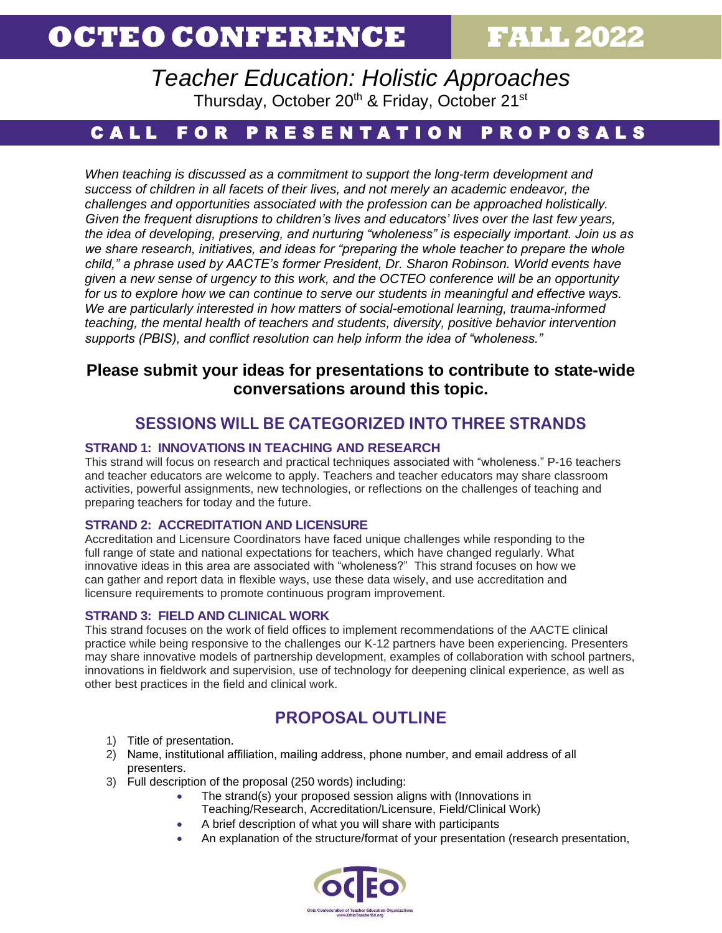# **OCTEO CONFERENCE FALL2022**

*Teacher Education: Holistic Approaches* Thursday, October 20<sup>th</sup> & Friday, October 21<sup>st</sup>

# CALL FOR PRESENTATION PROPOSALS

*When teaching is discussed as a commitment to support the long-term development and success of children in all facets of their lives, and not merely an academic endeavor, the challenges and opportunities associated with the profession can be approached holistically. Given the frequent disruptions to children's lives and educators' lives over the last few years, the idea of developing, preserving, and nurturing "wholeness" is especially important. Join us as we share research, initiatives, and ideas for "preparing the whole teacher to prepare the whole child," a phrase used by AACTE's former President, Dr. Sharon Robinson. World events have given a new sense of urgency to this work, and the OCTEO conference will be an opportunity for us to explore how we can continue to serve our students in meaningful and effective ways. We are particularly interested in how matters of social-emotional learning, trauma-informed teaching, the mental health of teachers and students, diversity, positive behavior intervention supports (PBIS), and conflict resolution can help inform the idea of "wholeness."* 

### **Please submit your ideas for presentations to contribute to state-wide conversations around this topic.**

## **SESSIONS WILL BE CATEGORIZED INTO THREE STRANDS**

#### **STRAND 1: INNOVATIONS IN TEACHING AND RESEARCH**

This strand will focus on research and practical techniques associated with "wholeness." P-16 teachers and teacher educators are welcome to apply. Teachers and teacher educators may share classroom activities, powerful assignments, new technologies, or reflections on the challenges of teaching and preparing teachers for today and the future.

#### **STRAND 2: ACCREDITATION AND LICENSURE**

Accreditation and Licensure Coordinators have faced unique challenges while responding to the full range of state and national expectations for teachers, which have changed regularly. What innovative ideas in this area are associated with "wholeness?" This strand focuses on how we can gather and report data in flexible ways, use these data wisely, and use accreditation and licensure requirements to promote continuous program improvement.

#### **STRAND 3: FIELD AND CLINICAL WORK**

This strand focuses on the work of field offices to implement recommendations of the AACTE clinical practice while being responsive to the challenges our K-12 partners have been experiencing. Presenters may share innovative models of partnership development, examples of collaboration with school partners, innovations in fieldwork and supervision, use of technology for deepening clinical experience, as well as other best practices in the field and clinical work.

## **PROPOSAL OUTLINE**

- 1) Title of presentation.
- 2) Name, institutional affiliation, mailing address, phone number, and email address of all presenters.
- 3) Full description of the proposal (250 words) including:
	- The strand(s) your proposed session aligns with (Innovations in Teaching/Research, Accreditation/Licensure, Field/Clinical Work)
	- A brief description of what you will share with participants
	- An explanation of the structure/format of your presentation (research presentation,